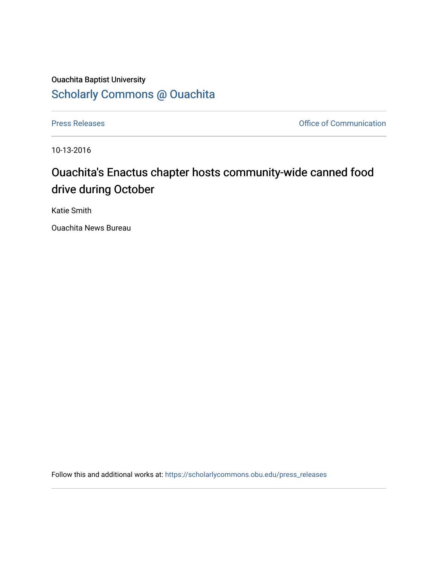## Ouachita Baptist University [Scholarly Commons @ Ouachita](https://scholarlycommons.obu.edu/)

[Press Releases](https://scholarlycommons.obu.edu/press_releases) **Press Releases Communication** 

10-13-2016

## Ouachita's Enactus chapter hosts community-wide canned food drive during October

Katie Smith

Ouachita News Bureau

Follow this and additional works at: [https://scholarlycommons.obu.edu/press\\_releases](https://scholarlycommons.obu.edu/press_releases?utm_source=scholarlycommons.obu.edu%2Fpress_releases%2F822&utm_medium=PDF&utm_campaign=PDFCoverPages)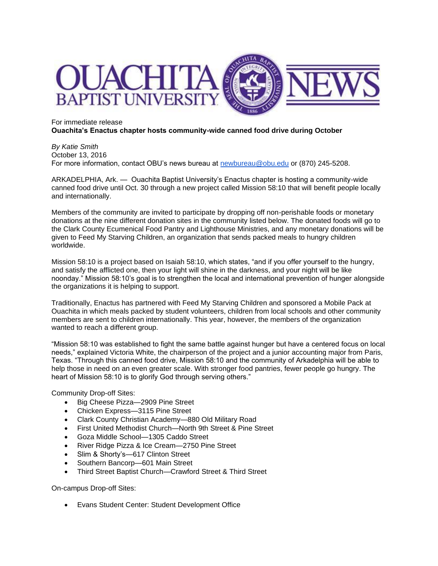

## For immediate release **Ouachita's Enactus chapter hosts community-wide canned food drive during October**

*By Katie Smith* October 13, 2016 For more information, contact OBU's news bureau at [newbureau@obu.edu](mailto:newbureau@obu.edu) or (870) 245-5208.

ARKADELPHIA, Ark. — Ouachita Baptist University's Enactus chapter is hosting a community-wide canned food drive until Oct. 30 through a new project called Mission 58:10 that will benefit people locally and internationally.

Members of the community are invited to participate by dropping off non-perishable foods or monetary donations at the nine different donation sites in the community listed below. The donated foods will go to the Clark County Ecumenical Food Pantry and Lighthouse Ministries, and any monetary donations will be given to Feed My Starving Children, an organization that sends packed meals to hungry children worldwide.

Mission 58:10 is a project based on Isaiah 58:10, which states, "and if you offer yourself to the hungry, and satisfy the afflicted one, then your light will shine in the darkness, and your night will be like noonday." Mission 58:10's goal is to strengthen the local and international prevention of hunger alongside the organizations it is helping to support.

Traditionally, Enactus has partnered with Feed My Starving Children and sponsored a Mobile Pack at Ouachita in which meals packed by student volunteers, children from local schools and other community members are sent to children internationally. This year, however, the members of the organization wanted to reach a different group.

"Mission 58:10 was established to fight the same battle against hunger but have a centered focus on local needs," explained Victoria White, the chairperson of the project and a junior accounting major from Paris, Texas. "Through this canned food drive, Mission 58:10 and the community of Arkadelphia will be able to help those in need on an even greater scale. With stronger food pantries, fewer people go hungry. The heart of Mission 58:10 is to glorify God through serving others."

Community Drop-off Sites:

- Big Cheese Pizza—2909 Pine Street
- Chicken Express—3115 Pine Street
- Clark County Christian Academy—880 Old Military Road
- First United Methodist Church—North 9th Street & Pine Street
- Goza Middle School—1305 Caddo Street
- River Ridge Pizza & Ice Cream—2750 Pine Street
- Slim & Shorty's-617 Clinton Street
- Southern Bancorp—601 Main Street
- Third Street Baptist Church—Crawford Street & Third Street

On-campus Drop-off Sites:

• Evans Student Center: Student Development Office